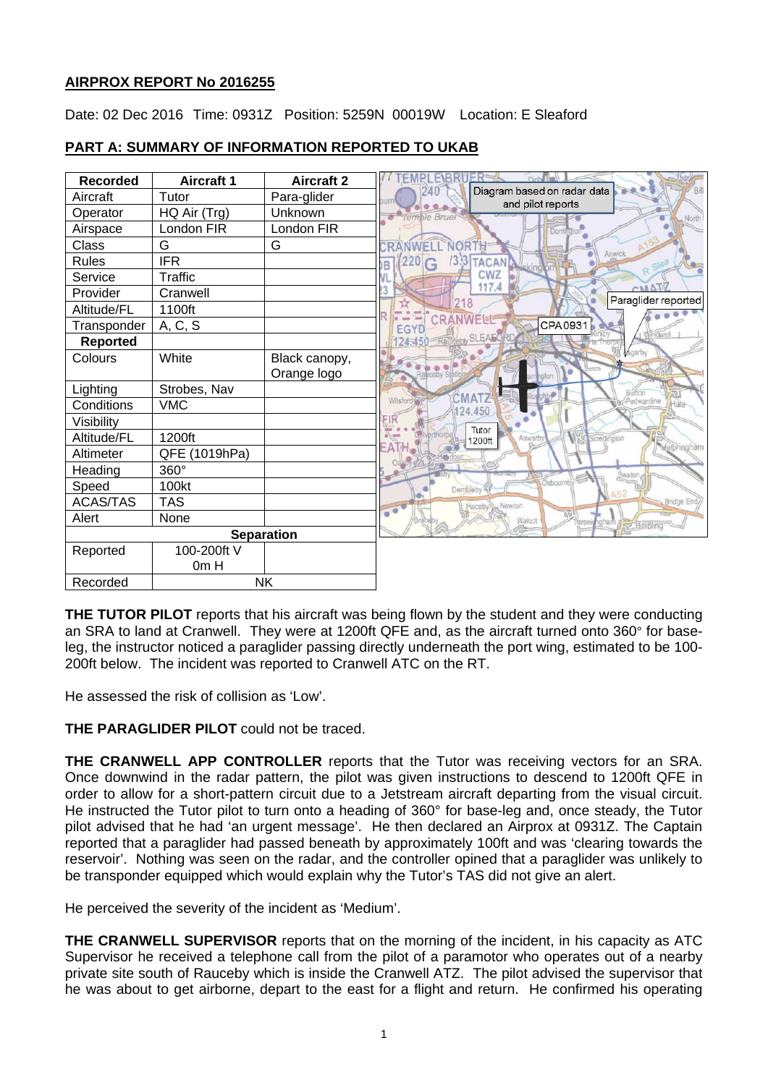# **AIRPROX REPORT No 2016255**

Date: 02 Dec 2016 Time: 0931Z Position: 5259N 00019W Location: E Sleaford

| <b>Recorded</b>   | <b>Aircraft 1</b> | <b>Aircraft 2</b> |
|-------------------|-------------------|-------------------|
| Aircraft          | Tutor             | Para-glider       |
| Operator          | HQ Air (Trg)      | Unknown           |
| Airspace          | London FIR        | London FIR        |
| Class             | G                 | G                 |
| <b>Rules</b>      | <b>IFR</b>        |                   |
| Service           | <b>Traffic</b>    |                   |
| Provider          | Cranwell          |                   |
| Altitude/FL       | 1100ft            |                   |
| Transponder       | A, C, S           |                   |
| <b>Reported</b>   |                   |                   |
| Colours           | White             | Black canopy,     |
|                   |                   | Orange logo       |
| Lighting          | Strobes, Nav      |                   |
| Conditions        | <b>VMC</b>        |                   |
| Visibility        |                   |                   |
| Altitude/FL       | 1200ft            |                   |
| Altimeter         | QFE (1019hPa)     |                   |
| Heading           | 360°              |                   |
| Speed             | 100kt             |                   |
| <b>ACAS/TAS</b>   | <b>TAS</b>        |                   |
| Alert             | None              |                   |
| <b>Separation</b> |                   |                   |
| Reported          | 100-200ft V       |                   |
|                   | 0m H              |                   |
| Recorded          | <b>NK</b>         |                   |

# **PART A: SUMMARY OF INFORMATION REPORTED TO UKAB**

**THE TUTOR PILOT** reports that his aircraft was being flown by the student and they were conducting an SRA to land at Cranwell. They were at 1200ft QFE and, as the aircraft turned onto 360° for baseleg, the instructor noticed a paraglider passing directly underneath the port wing, estimated to be 100- 200ft below. The incident was reported to Cranwell ATC on the RT.

He assessed the risk of collision as 'Low'.

**THE PARAGLIDER PILOT** could not be traced.

**THE CRANWELL APP CONTROLLER** reports that the Tutor was receiving vectors for an SRA. Once downwind in the radar pattern, the pilot was given instructions to descend to 1200ft QFE in order to allow for a short-pattern circuit due to a Jetstream aircraft departing from the visual circuit. He instructed the Tutor pilot to turn onto a heading of 360° for base-leg and, once steady, the Tutor pilot advised that he had 'an urgent message'. He then declared an Airprox at 0931Z. The Captain reported that a paraglider had passed beneath by approximately 100ft and was 'clearing towards the reservoir'. Nothing was seen on the radar, and the controller opined that a paraglider was unlikely to be transponder equipped which would explain why the Tutor's TAS did not give an alert.

He perceived the severity of the incident as 'Medium'.

**THE CRANWELL SUPERVISOR** reports that on the morning of the incident, in his capacity as ATC Supervisor he received a telephone call from the pilot of a paramotor who operates out of a nearby private site south of Rauceby which is inside the Cranwell ATZ. The pilot advised the supervisor that he was about to get airborne, depart to the east for a flight and return. He confirmed his operating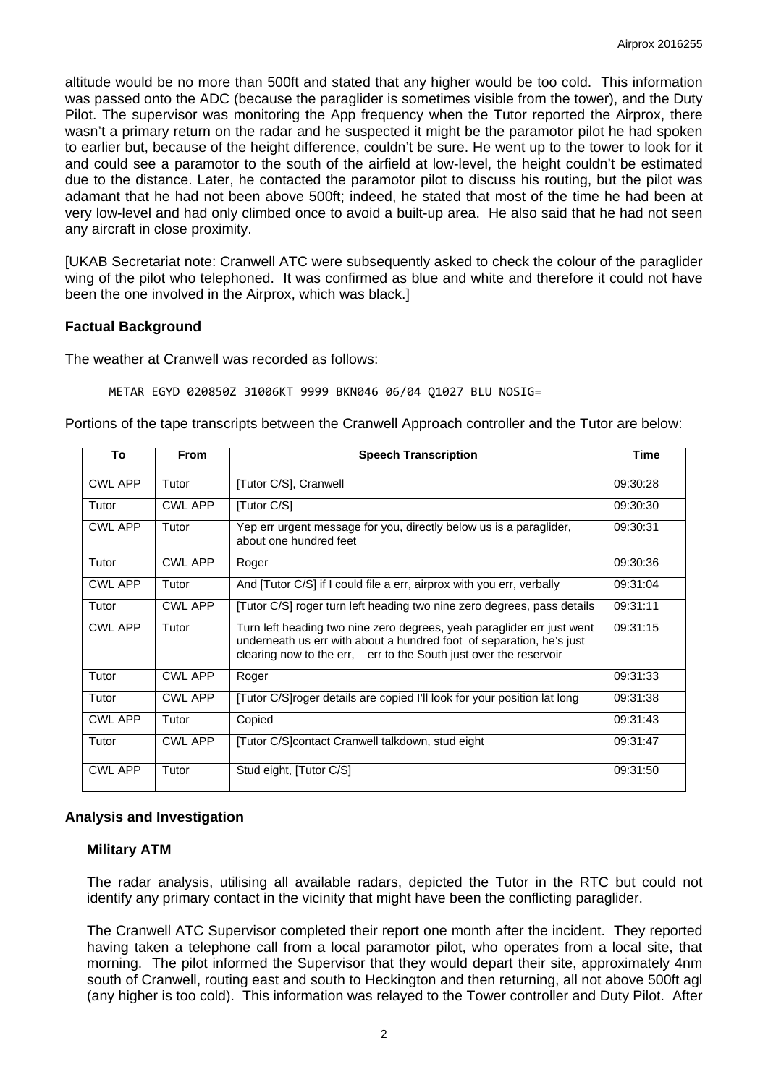altitude would be no more than 500ft and stated that any higher would be too cold. This information was passed onto the ADC (because the paraglider is sometimes visible from the tower), and the Duty Pilot. The supervisor was monitoring the App frequency when the Tutor reported the Airprox, there wasn't a primary return on the radar and he suspected it might be the paramotor pilot he had spoken to earlier but, because of the height difference, couldn't be sure. He went up to the tower to look for it and could see a paramotor to the south of the airfield at low-level, the height couldn't be estimated due to the distance. Later, he contacted the paramotor pilot to discuss his routing, but the pilot was adamant that he had not been above 500ft; indeed, he stated that most of the time he had been at very low-level and had only climbed once to avoid a built-up area. He also said that he had not seen any aircraft in close proximity.

[UKAB Secretariat note: Cranwell ATC were subsequently asked to check the colour of the paraglider wing of the pilot who telephoned. It was confirmed as blue and white and therefore it could not have been the one involved in the Airprox, which was black.]

# **Factual Background**

The weather at Cranwell was recorded as follows:

METAR EGYD 020850Z 31006KT 9999 BKN046 06/04 Q1027 BLU NOSIG=

Portions of the tape transcripts between the Cranwell Approach controller and the Tutor are below:

| To             | <b>From</b>    | <b>Speech Transcription</b>                                                                                                                                                                                         | <b>Time</b> |
|----------------|----------------|---------------------------------------------------------------------------------------------------------------------------------------------------------------------------------------------------------------------|-------------|
| CWL APP        | Tutor          | [Tutor C/S], Cranwell                                                                                                                                                                                               | 09:30:28    |
| Tutor          | <b>CWL APP</b> | [Tutor C/S]                                                                                                                                                                                                         | 09:30:30    |
| <b>CWL APP</b> | Tutor          | Yep err urgent message for you, directly below us is a paraglider,<br>about one hundred feet                                                                                                                        | 09:30:31    |
| Tutor          | <b>CWL APP</b> | Roger                                                                                                                                                                                                               | 09:30:36    |
| <b>CWL APP</b> | Tutor          | And [Tutor C/S] if I could file a err, airprox with you err, verbally                                                                                                                                               | 09:31:04    |
| Tutor          | <b>CWL APP</b> | [Tutor C/S] roger turn left heading two nine zero degrees, pass details                                                                                                                                             | 09:31:11    |
| <b>CWL APP</b> | Tutor          | Turn left heading two nine zero degrees, yeah paraglider err just went<br>underneath us err with about a hundred foot of separation, he's just<br>clearing now to the err, err to the South just over the reservoir | 09:31:15    |
| Tutor          | <b>CWL APP</b> | Roger                                                                                                                                                                                                               | 09:31:33    |
| Tutor          | <b>CWL APP</b> | [Tutor C/S]roger details are copied I'll look for your position lat long                                                                                                                                            | 09:31:38    |
| <b>CWL APP</b> | Tutor          | Copied                                                                                                                                                                                                              | 09:31:43    |
| Tutor          | <b>CWL APP</b> | [Tutor C/S]contact Cranwell talkdown, stud eight                                                                                                                                                                    | 09:31:47    |
| <b>CWL APP</b> | Tutor          | Stud eight, [Tutor C/S]                                                                                                                                                                                             | 09:31:50    |

# **Analysis and Investigation**

# **Military ATM**

The radar analysis, utilising all available radars, depicted the Tutor in the RTC but could not identify any primary contact in the vicinity that might have been the conflicting paraglider.

The Cranwell ATC Supervisor completed their report one month after the incident. They reported having taken a telephone call from a local paramotor pilot, who operates from a local site, that morning. The pilot informed the Supervisor that they would depart their site, approximately 4nm south of Cranwell, routing east and south to Heckington and then returning, all not above 500ft agl (any higher is too cold). This information was relayed to the Tower controller and Duty Pilot. After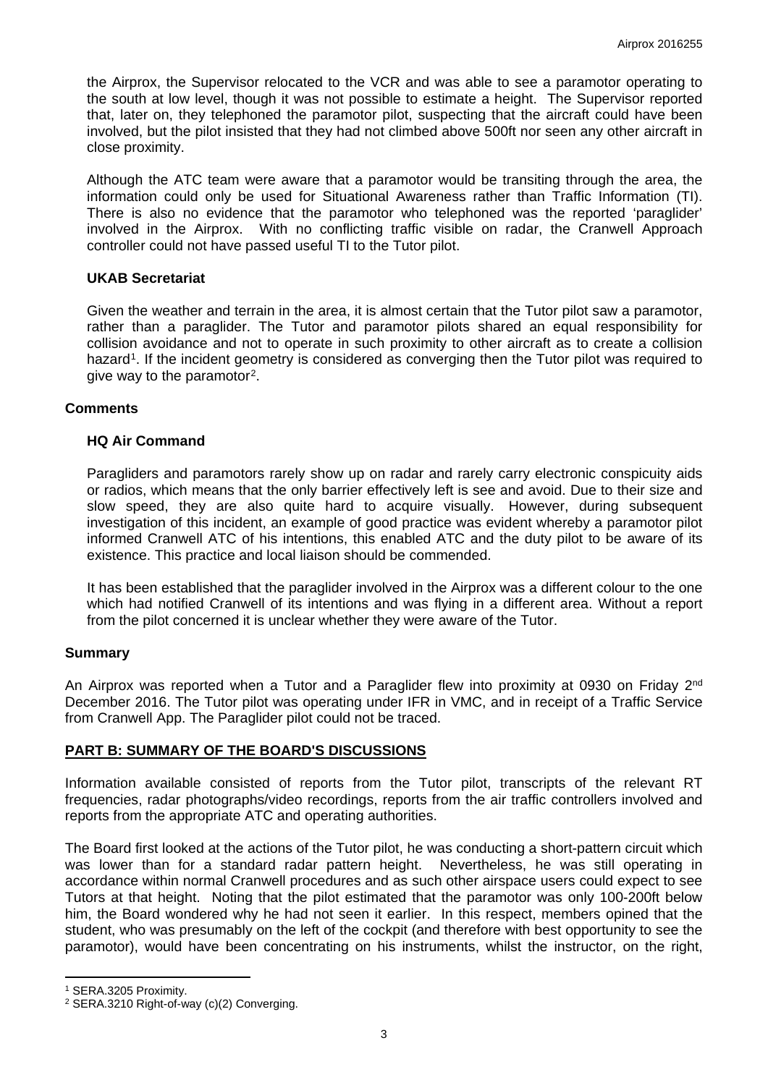the Airprox, the Supervisor relocated to the VCR and was able to see a paramotor operating to the south at low level, though it was not possible to estimate a height. The Supervisor reported that, later on, they telephoned the paramotor pilot, suspecting that the aircraft could have been involved, but the pilot insisted that they had not climbed above 500ft nor seen any other aircraft in close proximity.

Although the ATC team were aware that a paramotor would be transiting through the area, the information could only be used for Situational Awareness rather than Traffic Information (TI). There is also no evidence that the paramotor who telephoned was the reported 'paraglider' involved in the Airprox. With no conflicting traffic visible on radar, the Cranwell Approach controller could not have passed useful TI to the Tutor pilot.

# **UKAB Secretariat**

Given the weather and terrain in the area, it is almost certain that the Tutor pilot saw a paramotor, rather than a paraglider. The Tutor and paramotor pilots shared an equal responsibility for collision avoidance and not to operate in such proximity to other aircraft as to create a collision hazard<sup>[1](#page-2-0)</sup>. If the incident geometry is considered as converging then the Tutor pilot was required to give way to the paramotor[2](#page-2-1).

#### **Comments**

# **HQ Air Command**

Paragliders and paramotors rarely show up on radar and rarely carry electronic conspicuity aids or radios, which means that the only barrier effectively left is see and avoid. Due to their size and slow speed, they are also quite hard to acquire visually. However, during subsequent investigation of this incident, an example of good practice was evident whereby a paramotor pilot informed Cranwell ATC of his intentions, this enabled ATC and the duty pilot to be aware of its existence. This practice and local liaison should be commended.

It has been established that the paraglider involved in the Airprox was a different colour to the one which had notified Cranwell of its intentions and was flying in a different area. Without a report from the pilot concerned it is unclear whether they were aware of the Tutor.

# **Summary**

An Airprox was reported when a Tutor and a Paraglider flew into proximity at 0930 on Friday 2<sup>nd</sup> December 2016. The Tutor pilot was operating under IFR in VMC, and in receipt of a Traffic Service from Cranwell App. The Paraglider pilot could not be traced.

# **PART B: SUMMARY OF THE BOARD'S DISCUSSIONS**

Information available consisted of reports from the Tutor pilot, transcripts of the relevant RT frequencies, radar photographs/video recordings, reports from the air traffic controllers involved and reports from the appropriate ATC and operating authorities.

The Board first looked at the actions of the Tutor pilot, he was conducting a short-pattern circuit which was lower than for a standard radar pattern height. Nevertheless, he was still operating in accordance within normal Cranwell procedures and as such other airspace users could expect to see Tutors at that height. Noting that the pilot estimated that the paramotor was only 100-200ft below him, the Board wondered why he had not seen it earlier. In this respect, members opined that the student, who was presumably on the left of the cockpit (and therefore with best opportunity to see the paramotor), would have been concentrating on his instruments, whilst the instructor, on the right,

 $\overline{a}$ 

<span id="page-2-0"></span><sup>1</sup> SERA.3205 Proximity.

<span id="page-2-1"></span><sup>2</sup> SERA.3210 Right-of-way (c)(2) Converging.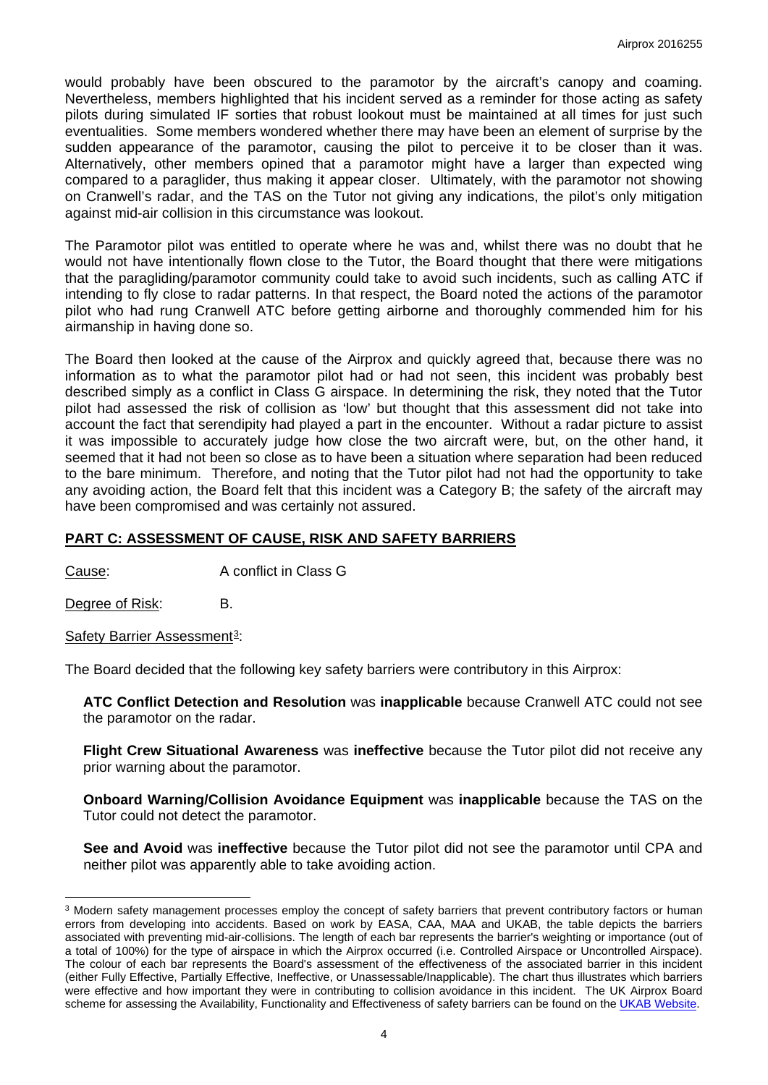would probably have been obscured to the paramotor by the aircraft's canopy and coaming. Nevertheless, members highlighted that his incident served as a reminder for those acting as safety pilots during simulated IF sorties that robust lookout must be maintained at all times for just such eventualities. Some members wondered whether there may have been an element of surprise by the sudden appearance of the paramotor, causing the pilot to perceive it to be closer than it was. Alternatively, other members opined that a paramotor might have a larger than expected wing compared to a paraglider, thus making it appear closer. Ultimately, with the paramotor not showing on Cranwell's radar, and the TAS on the Tutor not giving any indications, the pilot's only mitigation against mid-air collision in this circumstance was lookout.

The Paramotor pilot was entitled to operate where he was and, whilst there was no doubt that he would not have intentionally flown close to the Tutor, the Board thought that there were mitigations that the paragliding/paramotor community could take to avoid such incidents, such as calling ATC if intending to fly close to radar patterns. In that respect, the Board noted the actions of the paramotor pilot who had rung Cranwell ATC before getting airborne and thoroughly commended him for his airmanship in having done so.

The Board then looked at the cause of the Airprox and quickly agreed that, because there was no information as to what the paramotor pilot had or had not seen, this incident was probably best described simply as a conflict in Class G airspace. In determining the risk, they noted that the Tutor pilot had assessed the risk of collision as 'low' but thought that this assessment did not take into account the fact that serendipity had played a part in the encounter. Without a radar picture to assist it was impossible to accurately judge how close the two aircraft were, but, on the other hand, it seemed that it had not been so close as to have been a situation where separation had been reduced to the bare minimum. Therefore, and noting that the Tutor pilot had not had the opportunity to take any avoiding action, the Board felt that this incident was a Category B; the safety of the aircraft may have been compromised and was certainly not assured.

# **PART C: ASSESSMENT OF CAUSE, RISK AND SAFETY BARRIERS**

Cause: A conflict in Class G

Degree of Risk: B.

 $\overline{a}$ 

Safety Barrier Assessment<sup>[3](#page-3-0)</sup>:

The Board decided that the following key safety barriers were contributory in this Airprox:

**ATC Conflict Detection and Resolution** was **inapplicable** because Cranwell ATC could not see the paramotor on the radar.

**Flight Crew Situational Awareness** was **ineffective** because the Tutor pilot did not receive any prior warning about the paramotor.

**Onboard Warning/Collision Avoidance Equipment** was **inapplicable** because the TAS on the Tutor could not detect the paramotor.

**See and Avoid** was **ineffective** because the Tutor pilot did not see the paramotor until CPA and neither pilot was apparently able to take avoiding action.

<span id="page-3-0"></span><sup>&</sup>lt;sup>3</sup> Modern safety management processes employ the concept of safety barriers that prevent contributory factors or human errors from developing into accidents. Based on work by EASA, CAA, MAA and UKAB, the table depicts the barriers associated with preventing mid-air-collisions. The length of each bar represents the barrier's weighting or importance (out of a total of 100%) for the type of airspace in which the Airprox occurred (i.e. Controlled Airspace or Uncontrolled Airspace). The colour of each bar represents the Board's assessment of the effectiveness of the associated barrier in this incident (either Fully Effective, Partially Effective, Ineffective, or Unassessable/Inapplicable). The chart thus illustrates which barriers were effective and how important they were in contributing to collision avoidance in this incident. The UK Airprox Board scheme for assessing the Availability, Functionality and Effectiveness of safety barriers can be found on th[e UKAB Website.](http://www.airproxboard.org.uk/Learn-more/Airprox-Barrier-Assessment/)